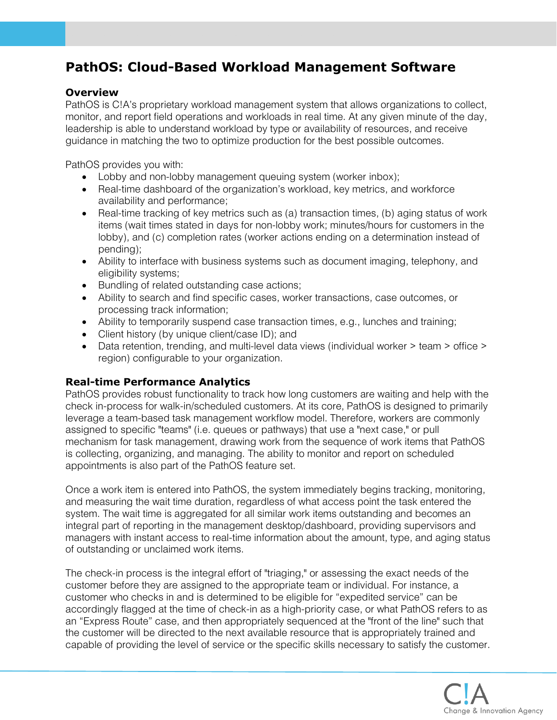# **PathOS: Cloud-Based Workload Management Software**

#### **Overview**

PathOS is C!A's proprietary workload management system that allows organizations to collect, monitor, and report field operations and workloads in real time. At any given minute of the day, leadership is able to understand workload by type or availability of resources, and receive guidance in matching the two to optimize production for the best possible outcomes.

PathOS provides you with:

- Lobby and non-lobby management queuing system (worker inbox);
- Real-time dashboard of the organization's workload, key metrics, and workforce availability and performance;
- Real-time tracking of key metrics such as (a) transaction times, (b) aging status of work items (wait times stated in days for non-lobby work; minutes/hours for customers in the lobby), and (c) completion rates (worker actions ending on a determination instead of pending);
- Ability to interface with business systems such as document imaging, telephony, and eligibility systems;
- Bundling of related outstanding case actions;
- Ability to search and find specific cases, worker transactions, case outcomes, or processing track information;
- Ability to temporarily suspend case transaction times, e.g., lunches and training;
- Client history (by unique client/case ID); and
- Data retention, trending, and multi-level data views (individual worker > team > office > region) configurable to your organization.

### **Real-time Performance Analytics**

PathOS provides robust functionality to track how long customers are waiting and help with the check in-process for walk-in/scheduled customers. At its core, PathOS is designed to primarily leverage a team-based task management workflow model. Therefore, workers are commonly assigned to specific "teams" (i.e. queues or pathways) that use a "next case," or pull mechanism for task management, drawing work from the sequence of work items that PathOS is collecting, organizing, and managing. The ability to monitor and report on scheduled appointments is also part of the PathOS feature set.

Once a work item is entered into PathOS, the system immediately begins tracking, monitoring, and measuring the wait time duration, regardless of what access point the task entered the system. The wait time is aggregated for all similar work items outstanding and becomes an integral part of reporting in the management desktop/dashboard, providing supervisors and managers with instant access to real-time information about the amount, type, and aging status of outstanding or unclaimed work items.

The check-in process is the integral effort of "triaging," or assessing the exact needs of the customer before they are assigned to the appropriate team or individual. For instance, a customer who checks in and is determined to be eligible for "expedited service" can be accordingly flagged at the time of check-in as a high-priority case, or what PathOS refers to as an "Express Route" case, and then appropriately sequenced at the "front of the line" such that the customer will be directed to the next available resource that is appropriately trained and capable of providing the level of service or the specific skills necessary to satisfy the customer.